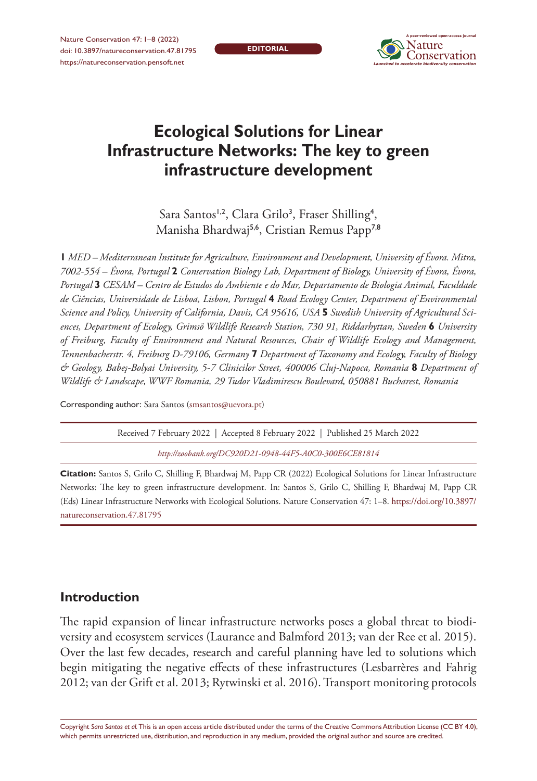Nature Conservation 47: 1–8 (2022) doi: 10.3897/natureconservation.47.81795 <https://natureconservation.pensoft.net>

**EDITORIAL**



# **Ecological Solutions for Linear Infrastructure Networks: The key to green infrastructure development**

Sara Santos<sup>1,2</sup>, Clara Grilo<sup>3</sup>, Fraser Shilling<sup>4</sup>, Manisha Bhardwaj5,6, Cristian Remus Papp7,8

**1** *MED – Mediterranean Institute for Agriculture, Environment and Development, University of Évora. Mitra, 7002-554 – Évora, Portugal* **2** *Conservation Biology Lab, Department of Biology, University of Évora, Évora, Portugal* **3** *CESAM – Centro de Estudos do Ambiente e do Mar, Departamento de Biologia Animal, Faculdade de Ciências, Universidade de Lisboa, Lisbon, Portugal* **4** *Road Ecology Center, Department of Environmental Science and Policy, University of California, Davis, CA 95616, USA* **5** *Swedish University of Agricultural Sciences, Department of Ecology, Grimsö Wildlife Research Station, 730 91, Riddarhyttan, Sweden* **6** *University of Freiburg, Faculty of Environment and Natural Resources, Chair of Wildlife Ecology and Management, Tennenbacherstr. 4, Freiburg D-79106, Germany* **7** *Department of Taxonomy and Ecology, Faculty of Biology & Geology, Babeş-Bolyai University, 5-7 Clinicilor Street, 400006 Cluj-Napoca, Romania* **8** *Department of Wildlife & Landscape, WWF Romania, 29 Tudor Vladimirescu Boulevard, 050881 Bucharest, Romania*

Corresponding author: Sara Santos [\(smsantos@uevora.pt\)](mailto:smsantos@uevora.pt)

Received 7 February 2022 | Accepted 8 February 2022 | Published 25 March 2022

*<http://zoobank.org/DC920D21-0948-44F5-A0C0-300E6CE81814>*

**Citation:** Santos S, Grilo C, Shilling F, Bhardwaj M, Papp CR (2022) Ecological Solutions for Linear Infrastructure Networks: The key to green infrastructure development. In: Santos S, Grilo C, Shilling F, Bhardwaj M, Papp CR (Eds) Linear Infrastructure Networks with Ecological Solutions. Nature Conservation 47: 1–8. [https://doi.org/10.3897/](https://doi.org/10.3897/natureconservation.47.81795) [natureconservation.47.81795](https://doi.org/10.3897/natureconservation.47.81795)

## **Introduction**

The rapid expansion of linear infrastructure networks poses a global threat to biodiversity and ecosystem services (Laurance and Balmford 2013; van der Ree et al. 2015). Over the last few decades, research and careful planning have led to solutions which begin mitigating the negative effects of these infrastructures (Lesbarrères and Fahrig 2012; van der Grift et al. 2013; Rytwinski et al. 2016). Transport monitoring protocols

Copyright *Sara Santos et al.* This is an open access article distributed under the terms of the [Creative Commons Attribution License \(CC BY 4.0\),](http://creativecommons.org/licenses/by/4.0/) which permits unrestricted use, distribution, and reproduction in any medium, provided the original author and source are credited.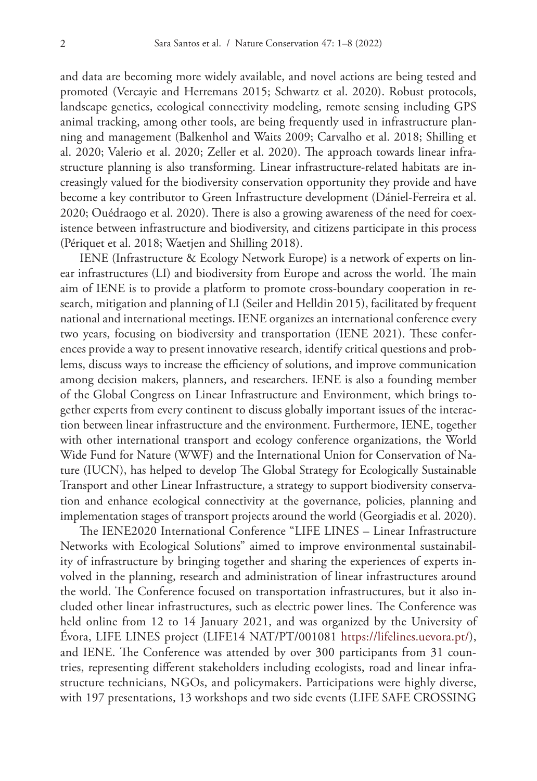and data are becoming more widely available, and novel actions are being tested and promoted (Vercayie and Herremans 2015; Schwartz et al. 2020). Robust protocols, landscape genetics, ecological connectivity modeling, remote sensing including GPS animal tracking, among other tools, are being frequently used in infrastructure planning and management (Balkenhol and Waits 2009; Carvalho et al. 2018; Shilling et al. 2020; Valerio et al. 2020; Zeller et al. 2020). The approach towards linear infrastructure planning is also transforming. Linear infrastructure-related habitats are increasingly valued for the biodiversity conservation opportunity they provide and have become a key contributor to Green Infrastructure development (Dániel-Ferreira et al. 2020; Ouédraogo et al. 2020). There is also a growing awareness of the need for coexistence between infrastructure and biodiversity, and citizens participate in this process (Périquet et al. 2018; Waetjen and Shilling 2018).

IENE (Infrastructure & Ecology Network Europe) is a network of experts on linear infrastructures (LI) and biodiversity from Europe and across the world. The main aim of IENE is to provide a platform to promote cross-boundary cooperation in research, mitigation and planning of LI (Seiler and Helldin 2015), facilitated by frequent national and international meetings. IENE organizes an international conference every two years, focusing on biodiversity and transportation (IENE 2021). These conferences provide a way to present innovative research, identify critical questions and problems, discuss ways to increase the efficiency of solutions, and improve communication among decision makers, planners, and researchers. IENE is also a founding member of the Global Congress on Linear Infrastructure and Environment, which brings together experts from every continent to discuss globally important issues of the interaction between linear infrastructure and the environment. Furthermore, IENE, together with other international transport and ecology conference organizations, the World Wide Fund for Nature (WWF) and the International Union for Conservation of Nature (IUCN), has helped to develop The Global Strategy for Ecologically Sustainable Transport and other Linear Infrastructure, a strategy to support biodiversity conservation and enhance ecological connectivity at the governance, policies, planning and implementation stages of transport projects around the world (Georgiadis et al. 2020).

The IENE2020 International Conference "LIFE LINES – Linear Infrastructure Networks with Ecological Solutions" aimed to improve environmental sustainability of infrastructure by bringing together and sharing the experiences of experts involved in the planning, research and administration of linear infrastructures around the world. The Conference focused on transportation infrastructures, but it also included other linear infrastructures, such as electric power lines. The Conference was held online from 12 to 14 January 2021, and was organized by the University of Évora, LIFE LINES project (LIFE14 NAT/PT/001081 [https://lifelines.uevora.pt/\)](https://lifelines.uevora.pt/), and IENE. The Conference was attended by over 300 participants from 31 countries, representing different stakeholders including ecologists, road and linear infrastructure technicians, NGOs, and policymakers. Participations were highly diverse, with 197 presentations, 13 workshops and two side events (LIFE SAFE CROSSING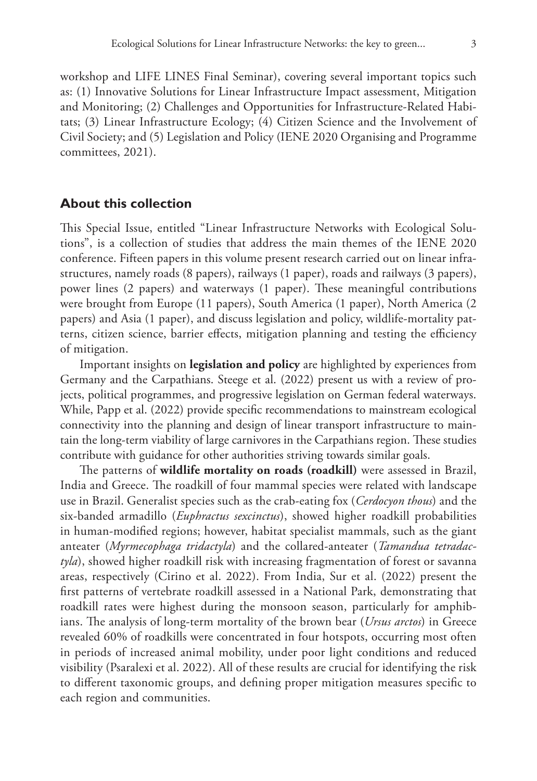workshop and LIFE LINES Final Seminar), covering several important topics such as: (1) Innovative Solutions for Linear Infrastructure Impact assessment, Mitigation and Monitoring; (2) Challenges and Opportunities for Infrastructure-Related Habitats; (3) Linear Infrastructure Ecology; (4) Citizen Science and the Involvement of Civil Society; and (5) Legislation and Policy (IENE 2020 Organising and Programme committees, 2021).

#### **About this collection**

This Special Issue, entitled "Linear Infrastructure Networks with Ecological Solutions", is a collection of studies that address the main themes of the IENE 2020 conference. Fifteen papers in this volume present research carried out on linear infrastructures, namely roads (8 papers), railways (1 paper), roads and railways (3 papers), power lines (2 papers) and waterways (1 paper). These meaningful contributions were brought from Europe (11 papers), South America (1 paper), North America (2 papers) and Asia (1 paper), and discuss legislation and policy, wildlife-mortality patterns, citizen science, barrier effects, mitigation planning and testing the efficiency of mitigation.

Important insights on **legislation and policy** are highlighted by experiences from Germany and the Carpathians. Steege et al. (2022) present us with a review of projects, political programmes, and progressive legislation on German federal waterways. While, Papp et al. (2022) provide specific recommendations to mainstream ecological connectivity into the planning and design of linear transport infrastructure to maintain the long-term viability of large carnivores in the Carpathians region. These studies contribute with guidance for other authorities striving towards similar goals.

The patterns of **wildlife mortality on roads (roadkill)** were assessed in Brazil, India and Greece. The roadkill of four mammal species were related with landscape use in Brazil. Generalist species such as the crab-eating fox (*Cerdocyon thous*) and the six-banded armadillo (*Euphractus sexcinctus*), showed higher roadkill probabilities in human-modified regions; however, habitat specialist mammals, such as the giant anteater (*Myrmecophaga tridactyla*) and the collared-anteater (*Tamandua tetradactyla*), showed higher roadkill risk with increasing fragmentation of forest or savanna areas, respectively (Cirino et al. 2022). From India, Sur et al. (2022) present the first patterns of vertebrate roadkill assessed in a National Park, demonstrating that roadkill rates were highest during the monsoon season, particularly for amphibians. The analysis of long-term mortality of the brown bear (*Ursus arctos*) in Greece revealed 60% of roadkills were concentrated in four hotspots, occurring most often in periods of increased animal mobility, under poor light conditions and reduced visibility (Psaralexi et al. 2022). All of these results are crucial for identifying the risk to different taxonomic groups, and defining proper mitigation measures specific to each region and communities.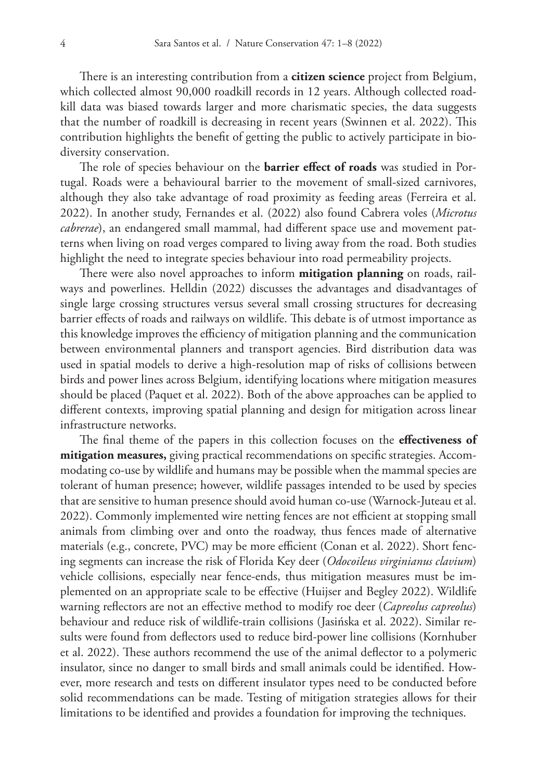There is an interesting contribution from a **citizen science** project from Belgium, which collected almost 90,000 roadkill records in 12 years. Although collected roadkill data was biased towards larger and more charismatic species, the data suggests that the number of roadkill is decreasing in recent years (Swinnen et al. 2022). This contribution highlights the benefit of getting the public to actively participate in biodiversity conservation.

The role of species behaviour on the **barrier effect of roads** was studied in Portugal. Roads were a behavioural barrier to the movement of small-sized carnivores, although they also take advantage of road proximity as feeding areas (Ferreira et al. 2022). In another study, Fernandes et al. (2022) also found Cabrera voles (*Microtus cabrerae*), an endangered small mammal, had different space use and movement patterns when living on road verges compared to living away from the road. Both studies highlight the need to integrate species behaviour into road permeability projects.

There were also novel approaches to inform **mitigation planning** on roads, railways and powerlines. Helldin (2022) discusses the advantages and disadvantages of single large crossing structures versus several small crossing structures for decreasing barrier effects of roads and railways on wildlife. This debate is of utmost importance as this knowledge improves the efficiency of mitigation planning and the communication between environmental planners and transport agencies. Bird distribution data was used in spatial models to derive a high-resolution map of risks of collisions between birds and power lines across Belgium, identifying locations where mitigation measures should be placed (Paquet et al. 2022). Both of the above approaches can be applied to different contexts, improving spatial planning and design for mitigation across linear infrastructure networks.

The final theme of the papers in this collection focuses on the **effectiveness of mitigation measures,** giving practical recommendations on specific strategies. Accommodating co-use by wildlife and humans may be possible when the mammal species are tolerant of human presence; however, wildlife passages intended to be used by species that are sensitive to human presence should avoid human co-use (Warnock-Juteau et al. 2022). Commonly implemented wire netting fences are not efficient at stopping small animals from climbing over and onto the roadway, thus fences made of alternative materials (e.g., concrete, PVC) may be more efficient (Conan et al. 2022). Short fencing segments can increase the risk of Florida Key deer (*Odocoileus virginianus clavium*) vehicle collisions, especially near fence-ends, thus mitigation measures must be implemented on an appropriate scale to be effective (Huijser and Begley 2022). Wildlife warning reflectors are not an effective method to modify roe deer (*Capreolus capreolus*) behaviour and reduce risk of wildlife-train collisions (Jasińska et al. 2022). Similar results were found from deflectors used to reduce bird-power line collisions (Kornhuber et al. 2022). These authors recommend the use of the animal deflector to a polymeric insulator, since no danger to small birds and small animals could be identified. However, more research and tests on different insulator types need to be conducted before solid recommendations can be made. Testing of mitigation strategies allows for their limitations to be identified and provides a foundation for improving the techniques.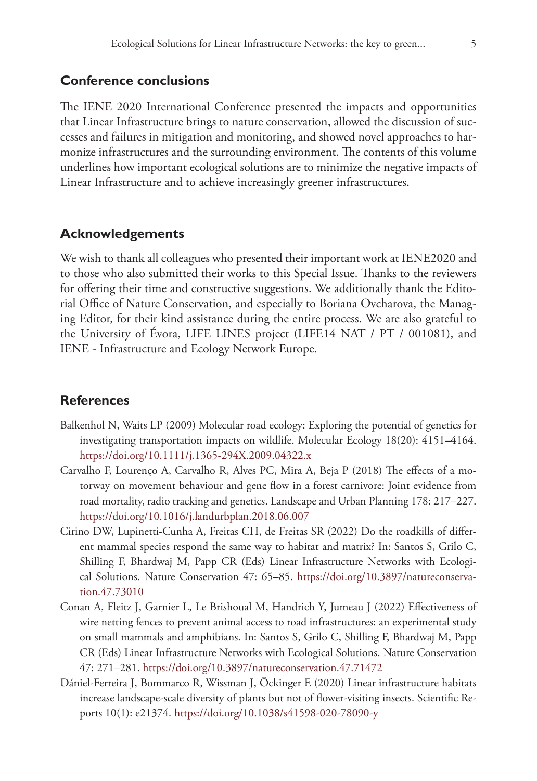#### **Conference conclusions**

The IENE 2020 International Conference presented the impacts and opportunities that Linear Infrastructure brings to nature conservation, allowed the discussion of successes and failures in mitigation and monitoring, and showed novel approaches to harmonize infrastructures and the surrounding environment. The contents of this volume underlines how important ecological solutions are to minimize the negative impacts of Linear Infrastructure and to achieve increasingly greener infrastructures.

#### **Acknowledgements**

We wish to thank all colleagues who presented their important work at IENE2020 and to those who also submitted their works to this Special Issue. Thanks to the reviewers for offering their time and constructive suggestions. We additionally thank the Editorial Office of Nature Conservation, and especially to Boriana Ovcharova, the Managing Editor, for their kind assistance during the entire process. We are also grateful to the University of Évora, LIFE LINES project (LIFE14 NAT / PT / 001081), and IENE - Infrastructure and Ecology Network Europe.

### **References**

- Balkenhol N, Waits LP (2009) Molecular road ecology: Exploring the potential of genetics for investigating transportation impacts on wildlife. Molecular Ecology 18(20): 4151–4164. <https://doi.org/10.1111/j.1365-294X.2009.04322.x>
- Carvalho F, Lourenço A, Carvalho R, Alves PC, Mira A, Beja P (2018) The effects of a motorway on movement behaviour and gene flow in a forest carnivore: Joint evidence from road mortality, radio tracking and genetics. Landscape and Urban Planning 178: 217–227. <https://doi.org/10.1016/j.landurbplan.2018.06.007>
- Cirino DW, Lupinetti-Cunha A, Freitas CH, de Freitas SR (2022) Do the roadkills of different mammal species respond the same way to habitat and matrix? In: Santos S, Grilo C, Shilling F, Bhardwaj M, Papp CR (Eds) Linear Infrastructure Networks with Ecological Solutions. Nature Conservation 47: 65–85. [https://doi.org/10.3897/natureconserva](https://doi.org/10.3897/natureconservation.47.73010)[tion.47.73010](https://doi.org/10.3897/natureconservation.47.73010)
- Conan A, Fleitz J, Garnier L, Le Brishoual M, Handrich Y, Jumeau J (2022) Effectiveness of wire netting fences to prevent animal access to road infrastructures: an experimental study on small mammals and amphibians. In: Santos S, Grilo C, Shilling F, Bhardwaj M, Papp CR (Eds) Linear Infrastructure Networks with Ecological Solutions. Nature Conservation 47: 271–281.<https://doi.org/10.3897/natureconservation.47.71472>
- Dániel-Ferreira J, Bommarco R, Wissman J, Öckinger E (2020) Linear infrastructure habitats increase landscape-scale diversity of plants but not of flower-visiting insects. Scientific Reports 10(1): e21374. <https://doi.org/10.1038/s41598-020-78090-y>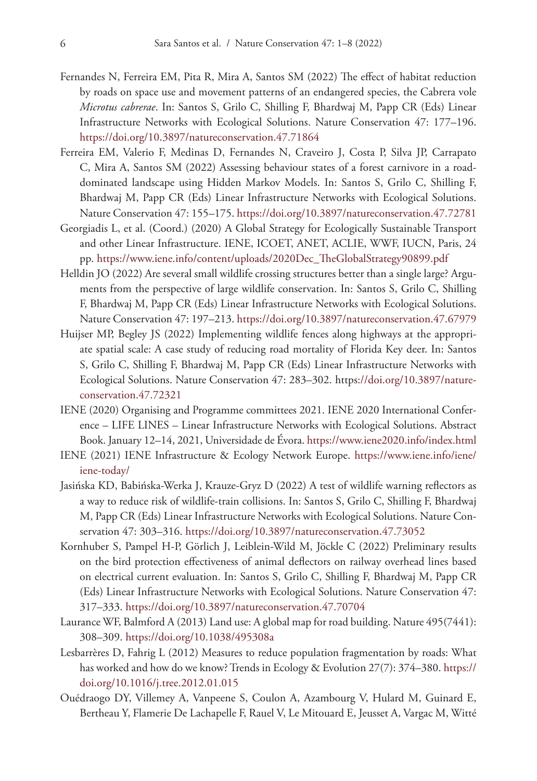- Fernandes N, Ferreira EM, Pita R, Mira A, Santos SM (2022) The effect of habitat reduction by roads on space use and movement patterns of an endangered species, the Cabrera vole *Microtus cabrerae*. In: Santos S, Grilo C, Shilling F, Bhardwaj M, Papp CR (Eds) Linear Infrastructure Networks with Ecological Solutions. Nature Conservation 47: 177–196. <https://doi.org/10.3897/natureconservation.47.71864>
- Ferreira EM, Valerio F, Medinas D, Fernandes N, Craveiro J, Costa P, Silva JP, Carrapato C, Mira A, Santos SM (2022) Assessing behaviour states of a forest carnivore in a roaddominated landscape using Hidden Markov Models. In: Santos S, Grilo C, Shilling F, Bhardwaj M, Papp CR (Eds) Linear Infrastructure Networks with Ecological Solutions. Nature Conservation 47: 155–175.<https://doi.org/10.3897/natureconservation.47.72781>
- Georgiadis L, et al. (Coord.) (2020) A Global Strategy for Ecologically Sustainable Transport and other Linear Infrastructure. IENE, ICOET, ANET, ACLIE, WWF, IUCN, Paris, 24 pp. [https://www.iene.info/content/uploads/2020Dec\\_TheGlobalStrategy90899.pdf](https://www.iene.info/content/uploads/2020Dec_TheGlobalStrategy90899.pdf)
- Helldin JO (2022) Are several small wildlife crossing structures better than a single large? Arguments from the perspective of large wildlife conservation. In: Santos S, Grilo C, Shilling F, Bhardwaj M, Papp CR (Eds) Linear Infrastructure Networks with Ecological Solutions. Nature Conservation 47: 197–213.<https://doi.org/10.3897/natureconservation.47.67979>
- Huijser MP, Begley JS (2022) Implementing wildlife fences along highways at the appropriate spatial scale: A case study of reducing road mortality of Florida Key deer. In: Santos S, Grilo C, Shilling F, Bhardwaj M, Papp CR (Eds) Linear Infrastructure Networks with Ecological Solutions. Nature Conservation 47: 283–302. [https://doi.org/10.3897/nature](https://doi.org/10.3897/natureconservation.47.72321)[conservation.47.72321](https://doi.org/10.3897/natureconservation.47.72321)
- IENE (2020) Organising and Programme committees 2021. IENE 2020 International Conference – LIFE LINES – Linear Infrastructure Networks with Ecological Solutions. Abstract Book. January 12–14, 2021, Universidade de Évora.<https://www.iene2020.info/index.html>
- IENE (2021) IENE Infrastructure & Ecology Network Europe. [https://www.iene.info/iene/](https://www.iene.info/iene/iene-today/) [iene-today/](https://www.iene.info/iene/iene-today/)
- Jasińska KD, Babińska-Werka J, Krauze-Gryz D (2022) A test of wildlife warning reflectors as a way to reduce risk of wildlife-train collisions. In: Santos S, Grilo C, Shilling F, Bhardwaj M, Papp CR (Eds) Linear Infrastructure Networks with Ecological Solutions. Nature Conservation 47: 303–316. <https://doi.org/10.3897/natureconservation.47.73052>
- Kornhuber S, Pampel H-P, Görlich J, Leiblein-Wild M, Jöckle C (2022) Preliminary results on the bird protection effectiveness of animal deflectors on railway overhead lines based on electrical current evaluation. In: Santos S, Grilo C, Shilling F, Bhardwaj M, Papp CR (Eds) Linear Infrastructure Networks with Ecological Solutions. Nature Conservation 47: 317–333.<https://doi.org/10.3897/natureconservation.47.70704>
- Laurance WF, Balmford A (2013) Land use: A global map for road building. Nature 495(7441): 308–309.<https://doi.org/10.1038/495308a>
- Lesbarrères D, Fahrig L (2012) Measures to reduce population fragmentation by roads: What has worked and how do we know? Trends in Ecology & Evolution 27(7): 374–380. [https://](https://doi.org/10.1016/j.tree.2012.01.015) [doi.org/10.1016/j.tree.2012.01.015](https://doi.org/10.1016/j.tree.2012.01.015)
- Ouédraogo DY, Villemey A, Vanpeene S, Coulon A, Azambourg V, Hulard M, Guinard E, Bertheau Y, Flamerie De Lachapelle F, Rauel V, Le Mitouard E, Jeusset A, Vargac M, Witté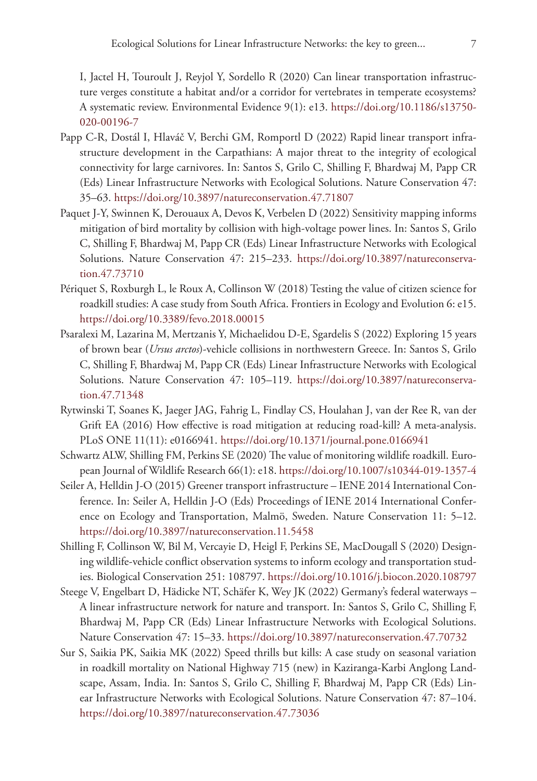I, Jactel H, Touroult J, Reyjol Y, Sordello R (2020) Can linear transportation infrastructure verges constitute a habitat and/or a corridor for vertebrates in temperate ecosystems? A systematic review. Environmental Evidence 9(1): e13. [https://doi.org/10.1186/s13750-](https://doi.org/10.1186/s13750-020-00196-7) [020-00196-7](https://doi.org/10.1186/s13750-020-00196-7)

- Papp C-R, Dostál I, Hlaváč V, Berchi GM, Romportl D (2022) Rapid linear transport infrastructure development in the Carpathians: A major threat to the integrity of ecological connectivity for large carnivores. In: Santos S, Grilo C, Shilling F, Bhardwaj M, Papp CR (Eds) Linear Infrastructure Networks with Ecological Solutions. Nature Conservation 47: 35–63.<https://doi.org/10.3897/natureconservation.47.71807>
- Paquet J-Y, Swinnen K, Derouaux A, Devos K, Verbelen D (2022) Sensitivity mapping informs mitigation of bird mortality by collision with high-voltage power lines. In: Santos S, Grilo C, Shilling F, Bhardwaj M, Papp CR (Eds) Linear Infrastructure Networks with Ecological Solutions. Nature Conservation 47: 215–233. [https://doi.org/10.3897/natureconserva](https://doi.org/10.3897/natureconservation.47.73710)[tion.47.73710](https://doi.org/10.3897/natureconservation.47.73710)
- Périquet S, Roxburgh L, le Roux A, Collinson W (2018) Testing the value of citizen science for roadkill studies: A case study from South Africa. Frontiers in Ecology and Evolution 6: e15. <https://doi.org/10.3389/fevo.2018.00015>
- Psaralexi M, Lazarina M, Mertzanis Y, Michaelidou D-E, Sgardelis S (2022) Exploring 15 years of brown bear (*Ursus arctos*)-vehicle collisions in northwestern Greece. In: Santos S, Grilo C, Shilling F, Bhardwaj M, Papp CR (Eds) Linear Infrastructure Networks with Ecological Solutions. Nature Conservation 47: 105–119. [https://doi.org/10.3897/natureconserva](https://doi.org/10.3897/natureconservation.47.71348)[tion.47.71348](https://doi.org/10.3897/natureconservation.47.71348)
- Rytwinski T, Soanes K, Jaeger JAG, Fahrig L, Findlay CS, Houlahan J, van der Ree R, van der Grift EA (2016) How effective is road mitigation at reducing road-kill? A meta-analysis. PLoS ONE 11(11): e0166941.<https://doi.org/10.1371/journal.pone.0166941>
- Schwartz ALW, Shilling FM, Perkins SE (2020) The value of monitoring wildlife roadkill. European Journal of Wildlife Research 66(1): e18.<https://doi.org/10.1007/s10344-019-1357-4>
- Seiler A, Helldin J-O (2015) Greener transport infrastructure IENE 2014 International Conference. In: Seiler A, Helldin J-O (Eds) Proceedings of IENE 2014 International Conference on Ecology and Transportation, Malmö, Sweden. Nature Conservation 11: 5–12. <https://doi.org/10.3897/natureconservation.11.5458>
- Shilling F, Collinson W, Bil M, Vercayie D, Heigl F, Perkins SE, MacDougall S (2020) Designing wildlife-vehicle conflict observation systems to inform ecology and transportation studies. Biological Conservation 251: 108797.<https://doi.org/10.1016/j.biocon.2020.108797>
- Steege V, Engelbart D, Hädicke NT, Schäfer K, Wey JK (2022) Germany's federal waterways A linear infrastructure network for nature and transport. In: Santos S, Grilo C, Shilling F, Bhardwaj M, Papp CR (Eds) Linear Infrastructure Networks with Ecological Solutions. Nature Conservation 47: 15–33.<https://doi.org/10.3897/natureconservation.47.70732>
- Sur S, Saikia PK, Saikia MK (2022) Speed thrills but kills: A case study on seasonal variation in roadkill mortality on National Highway 715 (new) in Kaziranga-Karbi Anglong Landscape, Assam, India. In: Santos S, Grilo C, Shilling F, Bhardwaj M, Papp CR (Eds) Linear Infrastructure Networks with Ecological Solutions. Nature Conservation 47: 87–104. <https://doi.org/10.3897/natureconservation.47.73036>